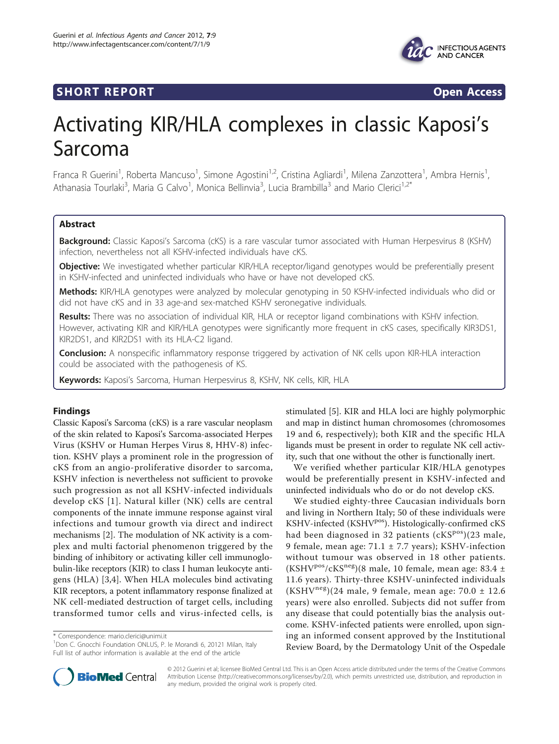



# Activating KIR/HLA complexes in classic Kaposi's Sarcoma

Franca R Guerini<sup>1</sup>, Roberta Mancuso<sup>1</sup>, Simone Agostini<sup>1,2</sup>, Cristina Agliardi<sup>1</sup>, Milena Zanzottera<sup>1</sup>, Ambra Hernis<sup>1</sup> , Athanasia Tourlaki<sup>3</sup>, Maria G Calvo<sup>1</sup>, Monica Bellinvia<sup>3</sup>, Lucia Brambilla<sup>3</sup> and Mario Clerici<sup>1,2\*</sup>

# Abstract

Background: Classic Kaposi's Sarcoma (cKS) is a rare vascular tumor associated with Human Herpesvirus 8 (KSHV) infection, nevertheless not all KSHV-infected individuals have cKS.

Objective: We investigated whether particular KIR/HLA receptor/ligand genotypes would be preferentially present in KSHV-infected and uninfected individuals who have or have not developed cKS.

Methods: KIR/HLA genotypes were analyzed by molecular genotyping in 50 KSHV-infected individuals who did or did not have cKS and in 33 age-and sex-matched KSHV seronegative individuals.

Results: There was no association of individual KIR, HLA or receptor ligand combinations with KSHV infection. However, activating KIR and KIR/HLA genotypes were significantly more frequent in cKS cases, specifically KIR3DS1, KIR2DS1, and KIR2DS1 with its HLA-C2 ligand.

Conclusion: A nonspecific inflammatory response triggered by activation of NK cells upon KIR-HLA interaction could be associated with the pathogenesis of KS.

Keywords: Kaposi's Sarcoma, Human Herpesvirus 8, KSHV, NK cells, KIR, HLA

## Findings

Classic Kaposi's Sarcoma (cKS) is a rare vascular neoplasm of the skin related to Kaposi's Sarcoma-associated Herpes Virus (KSHV or Human Herpes Virus 8, HHV-8) infection. KSHV plays a prominent role in the progression of cKS from an angio-proliferative disorder to sarcoma, KSHV infection is nevertheless not sufficient to provoke such progression as not all KSHV-infected individuals develop cKS [[1](#page-4-0)]. Natural killer (NK) cells are central components of the innate immune response against viral infections and tumour growth via direct and indirect mechanisms [[2](#page-4-0)]. The modulation of NK activity is a complex and multi factorial phenomenon triggered by the binding of inhibitory or activating killer cell immunoglobulin-like receptors (KIR) to class I human leukocyte antigens (HLA) [[3,4\]](#page-4-0). When HLA molecules bind activating KIR receptors, a potent inflammatory response finalized at NK cell-mediated destruction of target cells, including transformed tumor cells and virus-infected cells, is

\* Correspondence: [mario.clerici@unimi.it](mailto:mario.clerici@unimi.it)

<sup>1</sup>Don C. Gnocchi Foundation ONLUS, P. le Morandi 6, 20121 Milan, Italy Full list of author information is available at the end of the article



We verified whether particular KIR/HLA genotypes would be preferentially present in KSHV-infected and uninfected individuals who do or do not develop cKS.

We studied eighty-three Caucasian individuals born and living in Northern Italy; 50 of these individuals were KSHV-infected (KSHV<sup>pos</sup>). Histologically-confirmed cKS had been diagnosed in 32 patients  $(cKS^{pos})(23$  male, 9 female, mean age: 71.1 ± 7.7 years); KSHV-infection without tumour was observed in 18 other patients. (KSHV<sup>pos</sup>/cKS<sup>neg</sup>)(8 male, 10 female, mean age: 83.4 ± 11.6 years). Thirty-three KSHV-uninfected individuals  $(KSHV<sup>neg</sup>)(24 male, 9 female, mean age: 70.0 ± 12.6)$ years) were also enrolled. Subjects did not suffer from any disease that could potentially bias the analysis outcome. KSHV-infected patients were enrolled, upon signing an informed consent approved by the Institutional Review Board, by the Dermatology Unit of the Ospedale



© 2012 Guerini et al; licensee BioMed Central Ltd. This is an Open Access article distributed under the terms of the Creative Commons Attribution License [\(http://creativecommons.org/licenses/by/2.0](http://creativecommons.org/licenses/by/2.0)), which permits unrestricted use, distribution, and reproduction in any medium, provided the original work is properly cited.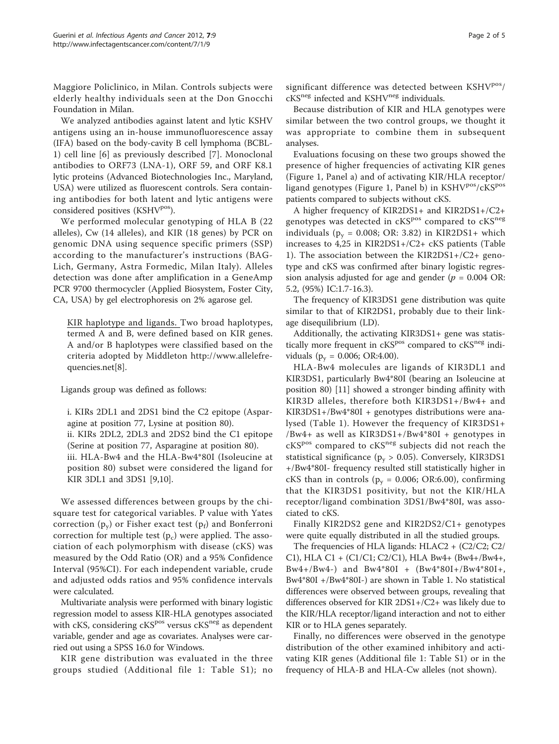Maggiore Policlinico, in Milan. Controls subjects were elderly healthy individuals seen at the Don Gnocchi Foundation in Milan.

We analyzed antibodies against latent and lytic KSHV antigens using an in-house immunofluorescence assay (IFA) based on the body-cavity B cell lymphoma (BCBL-1) cell line [[6\]](#page-4-0) as previously described [[7\]](#page-4-0). Monoclonal antibodies to ORF73 (LNA-1), ORF 59, and ORF K8.1 lytic proteins (Advanced Biotechnologies Inc., Maryland, USA) were utilized as fluorescent controls. Sera containing antibodies for both latent and lytic antigens were considered positives (KSHV<sup>pos</sup>).

We performed molecular genotyping of HLA B (22 alleles), Cw (14 alleles), and KIR (18 genes) by PCR on genomic DNA using sequence specific primers (SSP) according to the manufacturer's instructions (BAG-Lich, Germany, Astra Formedic, Milan Italy). Alleles detection was done after amplification in a GeneAmp PCR 9700 thermocycler (Applied Biosystem, Foster City, CA, USA) by gel electrophoresis on 2% agarose gel.

KIR haplotype and ligands. Two broad haplotypes, termed A and B, were defined based on KIR genes. A and/or B haplotypes were classified based on the criteria adopted by Middleton [http://www.allelefre](http://www.allelefrequencies.net)[quencies.net](http://www.allelefrequencies.net)[\[8\]](#page-4-0).

Ligands group was defined as follows:

i. KIRs 2DL1 and 2DS1 bind the C2 epitope (Asparagine at position 77, Lysine at position 80). ii. KIRs 2DL2, 2DL3 and 2DS2 bind the C1 epitope (Serine at position 77, Asparagine at position 80). iii. HLA-Bw4 and the HLA-Bw4\*80I (Isoleucine at position 80) subset were considered the ligand for KIR 3DL1 and 3DS1 [[9,10\]](#page-4-0).

We assessed differences between groups by the chisquare test for categorical variables. P value with Yates correction  $(p_v)$  or Fisher exact test  $(p_f)$  and Bonferroni correction for multiple test  $(p_c)$  were applied. The association of each polymorphism with disease (cKS) was measured by the Odd Ratio (OR) and a 95% Confidence Interval (95%CI). For each independent variable, crude and adjusted odds ratios and 95% confidence intervals were calculated.

Multivariate analysis were performed with binary logistic regression model to assess KIR-HLA genotypes associated with cKS, considering  $c<sup>spos</sup>$  versus  $c<sup>th</sup>$  as dependent variable, gender and age as covariates. Analyses were carried out using a SPSS 16.0 for Windows.

KIR gene distribution was evaluated in the three groups studied (Additional file [1](#page-3-0): Table S1); no significant difference was detected between KSHV<sup>pos</sup>/ cKS<sup>neg</sup> infected and KSHV<sup>neg</sup> individuals.

Because distribution of KIR and HLA genotypes were similar between the two control groups, we thought it was appropriate to combine them in subsequent analyses.

Evaluations focusing on these two groups showed the presence of higher frequencies of activating KIR genes (Figure [1](#page-2-0), Panel a) and of activating KIR/HLA receptor/ ligand genotypes (Figure [1](#page-2-0), Panel b) in KSHV<sup>pos</sup>/cKS<sup>pos</sup> patients compared to subjects without cKS.

A higher frequency of KIR2DS1+ and KIR2DS1+/C2+ genotypes was detected in cKS<sup>pos</sup> compared to cKS<sup>neg</sup> individuals ( $p_v = 0.008$ ; OR: 3.82) in KIR2DS1+ which increases to 4,25 in KIR2DS1+/C2+ cKS patients (Table [1\)](#page-3-0). The association between the KIR2DS1+/C2+ genotype and cKS was confirmed after binary logistic regression analysis adjusted for age and gender ( $p = 0.004$  OR: 5.2, (95%) IC:1.7-16.3).

The frequency of KIR3DS1 gene distribution was quite similar to that of KIR2DS1, probably due to their linkage disequilibrium (LD).

Additionally, the activating KIR3DS1+ gene was statistically more frequent in  $cKS<sup>pos</sup>$  compared to  $cKS<sup>neg</sup>$  individuals ( $p_v = 0.006$ ; OR:4.00).

HLA-Bw4 molecules are ligands of KIR3DL1 and KIR3DS1, particularly Bw4\*80I (bearing an Isoleucine at position 80) [\[11\]](#page-4-0) showed a stronger binding affinity with KIR3D alleles, therefore both KIR3DS1+/Bw4+ and KIR3DS1+/Bw4\*80I + genotypes distributions were analysed (Table [1\)](#page-3-0). However the frequency of KIR3DS1+ /Bw4+ as well as KIR3DS1+/Bw4\*80I + genotypes in cKS<sup>pos</sup> compared to cKS<sup>neg</sup> subjects did not reach the statistical significance ( $p_y > 0.05$ ). Conversely, KIR3DS1 +/Bw4\*80I- frequency resulted still statistically higher in cKS than in controls ( $p_y = 0.006$ ; OR:6.00), confirming that the KIR3DS1 positivity, but not the KIR/HLA receptor/ligand combination 3DS1/Bw4\*80I, was associated to cKS.

Finally KIR2DS2 gene and KIR2DS2/C1+ genotypes were quite equally distributed in all the studied groups.

The frequencies of HLA ligands: HLAC2 + (C2/C2; C2/ C1), HLA C1 + (C1/C1; C2/C1), HLA Bw4+ (Bw4+/Bw4+, Bw4+/Bw4-) and Bw4\*80I + (Bw4\*80I+/Bw4\*80I+, Bw4\*80I +/Bw4\*80I-) are shown in Table [1](#page-3-0). No statistical differences were observed between groups, revealing that differences observed for KIR 2DS1+/C2+ was likely due to the KIR/HLA receptor/ligand interaction and not to either KIR or to HLA genes separately.

Finally, no differences were observed in the genotype distribution of the other examined inhibitory and activating KIR genes (Additional file [1](#page-3-0): Table S1) or in the frequency of HLA-B and HLA-Cw alleles (not shown).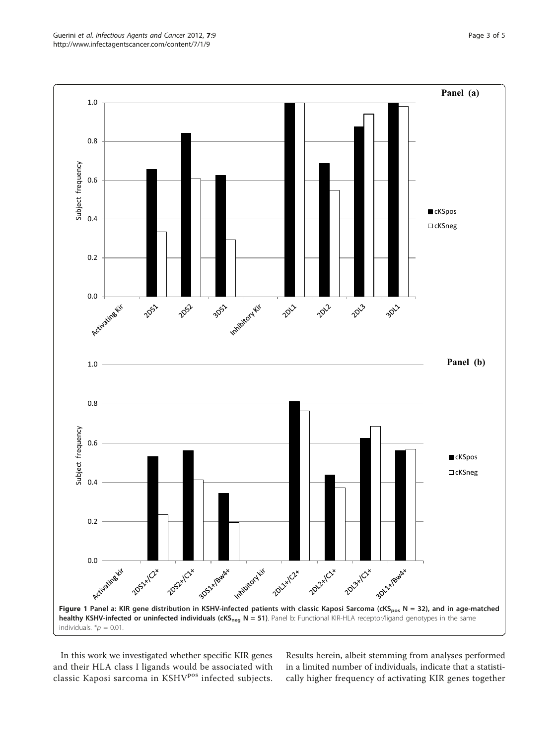<span id="page-2-0"></span>

In this work we investigated whether specific KIR genes and their HLA class I ligands would be associated with classic Kaposi sarcoma in KSHV<sup>pos</sup> infected subjects. Results herein, albeit stemming from analyses performed in a limited number of individuals, indicate that a statistically higher frequency of activating KIR genes together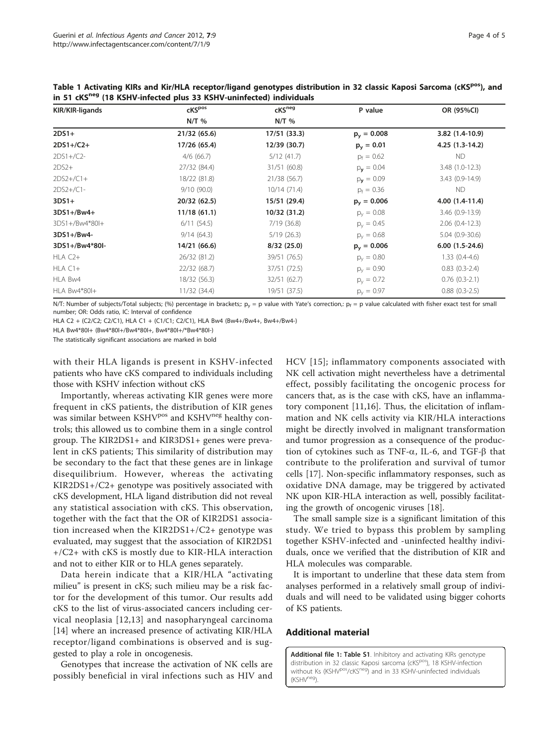| KIR/KIR-ligands | cKS <sup>pos</sup><br>$N/T$ % | cKS <sup>neg</sup><br>$N/T$ % | P value            | OR (95%CI)         |
|-----------------|-------------------------------|-------------------------------|--------------------|--------------------|
|                 |                               |                               |                    |                    |
| $2DS1+/C2+$     | 17/26 (65.4)                  | 12/39 (30.7)                  | $p_v = 0.01$       | 4.25 (1.3-14.2)    |
| $2DS1 + / C2 -$ | $4/6$ (66.7)                  | 5/12(41.7)                    | $p_f = 0.62$       | ND.                |
| $2DS2+$         | 27/32 (84.4)                  | 31/51 (60.8)                  | $p_{\rm y} = 0.04$ | $3.48(1.0-12.3)$   |
| $2DS2+/C1+$     | 18/22 (81.8)                  | 21/38 (56.7)                  | $p_v = 0.09$       | 3.43 (0.9-14.9)    |
| $2DS2+/C1-$     | 9/10(90.0)                    | 10/14(71.4)                   | $p_f = 0.36$       | ND.                |
| $3DS1+$         | 20/32 (62.5)                  | 15/51 (29.4)                  | $p_v = 0.006$      | $4.00(1.4-11.4)$   |
| $3DS1+/Bw4+$    | 11/18(61.1)                   | 10/32 (31.2)                  | $p_v = 0.08$       | 3.46 (0.9-13.9)    |
| 3DS1+/Bw4*80I+  | 6/11(54.5)                    | 7/19(36.8)                    | $p_v = 0.45$       | $2.06(0.4-12.3)$   |
| 3DS1+/Bw4-      | 9/14(64.3)                    | 5/19(26.3)                    | $p_v = 0.68$       | $5.04(0.9-30.6)$   |
| 3DS1+/Bw4*80I-  | 14/21 (66.6)                  | 8/32(25.0)                    | $p_v = 0.006$      | $6.00(1.5-24.6)$   |
| $HLA C2+$       | 26/32 (81.2)                  | 39/51 (76.5)                  | $p_v = 0.80$       | $1.33(0.4-4.6)$    |
| $HLA C1+$       | 22/32 (68.7)                  | 37/51 (72.5)                  | $p_v = 0.90$       | $0.83(0.3-2.4)$    |
| HLA Bw4         | 18/32 (56.3)                  | 32/51(62.7)                   | $p_v = 0.72$       | $0.76$ $(0.3-2.1)$ |
| HLA Bw4*80I+    | 11/32(34.4)                   | 19/51 (37.5)                  | $p_v = 0.97$       | $0.88$ $(0.3-2.5)$ |

<span id="page-3-0"></span>Table 1 Activating KIRs and Kir/HLA receptor/ligand genotypes distribution in 32 classic Kaposi Sarcoma (cKSPos), and in 51 cKS<sup>neg</sup> (18 KSHV-infected plus 33 KSHV-uninfected) individuals

N/T: Number of subjects/Total subjects; (%) percentage in brackets;:  $p_y = p$  value with Yate's correction,:  $p_f = p$  value calculated with fisher exact test for small number; OR: Odds ratio, IC: Interval of confidence

HLA C2 + (C2/C2; C2/C1), HLA C1 + (C1/C1; C2/C1), HLA Bw4 (Bw4+/Bw4+, Bw4+/Bw4-)

HLA Bw4\*80I+ (Bw4\*80I+/Bw4\*80I+, Bw4\*80I+/\*Bw4\*80I-)

The statistically significant associations are marked in bold

with their HLA ligands is present in KSHV-infected patients who have cKS compared to individuals including those with KSHV infection without cKS

Importantly, whereas activating KIR genes were more frequent in cKS patients, the distribution of KIR genes was similar between KSHV<sup>pos</sup> and KSHV<sup>neg</sup> healthy controls; this allowed us to combine them in a single control group. The KIR2DS1+ and KIR3DS1+ genes were prevalent in cKS patients; This similarity of distribution may be secondary to the fact that these genes are in linkage disequilibrium. However, whereas the activating KIR2DS1+/C2+ genotype was positively associated with cKS development, HLA ligand distribution did not reveal any statistical association with cKS. This observation, together with the fact that the OR of KIR2DS1 association increased when the KIR2DS1+/C2+ genotype was evaluated, may suggest that the association of KIR2DS1 +/C2+ with cKS is mostly due to KIR-HLA interaction and not to either KIR or to HLA genes separately.

Data herein indicate that a KIR/HLA "activating milieu" is present in cKS; such milieu may be a risk factor for the development of this tumor. Our results add cKS to the list of virus-associated cancers including cervical neoplasia [[12](#page-4-0),[13\]](#page-4-0) and nasopharyngeal carcinoma [[14\]](#page-4-0) where an increased presence of activating KIR/HLA receptor/ligand combinations is observed and is suggested to play a role in oncogenesis.

Genotypes that increase the activation of NK cells are possibly beneficial in viral infections such as HIV and

HCV [[15\]](#page-4-0); inflammatory components associated with NK cell activation might nevertheless have a detrimental effect, possibly facilitating the oncogenic process for cancers that, as is the case with cKS, have an inflammatory component [\[11](#page-4-0),[16\]](#page-4-0). Thus, the elicitation of inflammation and NK cells activity via KIR/HLA interactions might be directly involved in malignant transformation and tumor progression as a consequence of the production of cytokines such as TNF- $\alpha$ , IL-6, and TGF- $\beta$  that contribute to the proliferation and survival of tumor cells [\[17](#page-4-0)]. Non-specific inflammatory responses, such as oxidative DNA damage, may be triggered by activated NK upon KIR-HLA interaction as well, possibly facilitating the growth of oncogenic viruses [[18](#page-4-0)].

The small sample size is a significant limitation of this study. We tried to bypass this problem by sampling together KSHV-infected and -uninfected healthy individuals, once we verified that the distribution of KIR and HLA molecules was comparable.

It is important to underline that these data stem from analyses performed in a relatively small group of individuals and will need to be validated using bigger cohorts of KS patients.

## Additional material

[Additional file 1: T](http://www.biomedcentral.com/content/supplementary/1750-9378-7-9-S1.DOC)able S1. Inhibitory and activating KIRs genotype distribution in 32 classic Kaposi sarcoma (cKS<sup>pos</sup>), 18 KSHV-infection without Ks (KSHV<sup>pos</sup>/cKS<sup>neg</sup>) and in 33 KSHV-uninfected individuals (KSHV<sup>neg</sup>).